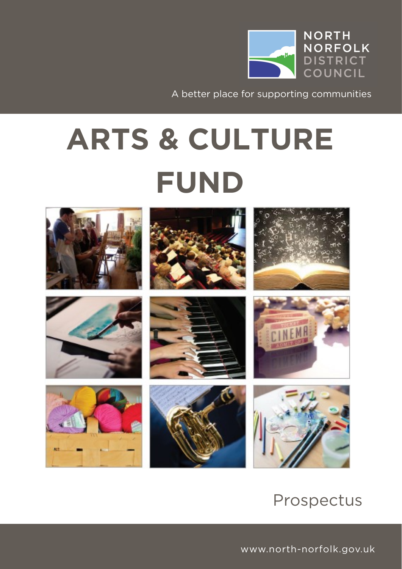

A better place for supporting communities

# **ARTS & CULTURE**



### Prospectus

www.north-norfolk.gov.uk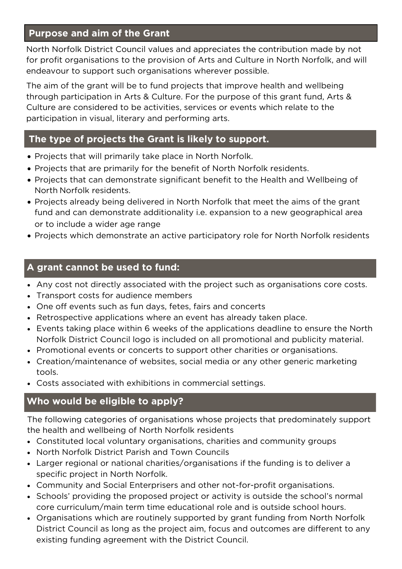# **Purpose and aim of the Grant**

North Norfolk District Council values and appreciates the contribution made by not for profit organisations to the provision of Arts and Culture in North Norfolk, and will endeavour to support such organisations wherever possible. endeavour to support such organisations wherever possible.

The aim of the grant will be to fund projects that improve health and wellbeing<br>through participation in Arts & Culture. For the purpose of this grant fund, Arts & Culture are considered to be activities, services or events which relate to the  $\alpha$  considered to be activities, see all  $\alpha$  and  $\alpha$  activities, services or events which relate to the total relationships  $\alpha$  and  $\alpha$ participation in visual, literary and performing arts.

## **The type of projects the Grant is likely to support.**

- Projects that will primarily take place in North Norfolk.
- Projects that are primarily for the benefit of North Norfolk residents.
- Projects that can demonstrate significant benefit to the Health and Wellbeing of
- Projects already being delivered in North Norfolk that meet the aims of the grant fund and can demonstrate additionality i.e. expansion to a new geographical area<br>or to include a wider age range
- Projects which demonstrate an active participatory role for North Norfolk residents

### **A grant cannot be used to fund:**

- Any cost not directly associated with the project such as organisations core costs.
- Transport costs for audience members
- One off events such as fun days, fetes, fairs and concerts
- Retrospective applications where an event has already taken place.
- Events taking place within 6 weeks of the applications deadline to ensure the North
- Promotional events or concerts to support other charities or organisations.<br>
Creation (maintenance of websites, social modia or any other generic marketing
- Creation/maintenance of websites, social media or any other generic marketing tools
- Costs associated with exhibitions in commercial settings.

### **Who would be eligible to apply?**

The following categories of organisations whose projects that predominately support the health and wellbeing of North Norfolk residents

- **Constituted local voluntary organisations, charities and community groups**<br>
Morth Norfolk District Parish and Town Councils
- North Norfolk District Parish and Town Councils
- Larger regional or national charities/organisations if the funding is to deliver a
- **Community and Social Enterprisers and other not-for-profit organisations.**<br>
Community and Social Enterprisers and other not-for-profit organisations.
- Schools' providing the proposed project or activity is outside the school's normal core curriculum/main term time educational role and is outside school hours.
- ore curriculum, main term time educational relevant relevant curriculum.<br>
Organisations which are routinely supported by grant funding from North Norfolk ovicting funding agreement with the District Council and outcomes are different to any existing funding agreement with the District Council.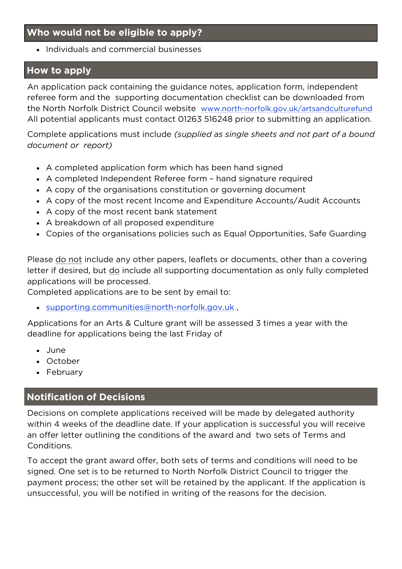# **Who would not be eligible to apply?**

• Individuals and commercial businesses

# **How to apply**

An application pack containing the guidance notes, application form, independent referee form and the supporting documentation checklist can be downloaded from the North Norfolk District Council website www.north-norfolk.gov.uk/artsandculturefund<br>All notential applicants must contact 01267 516249 prior to submitting an application All potential applicants must contact 01263 516248 prior to submitting an application.

Complete applications must include *(supplied as single sheets and not part of a bound document or report)* 

- A completed application form which has been hand signed
- A completed Independent Referee form hand signature required
- A copy of the organisations constitution or governing document
- A copy of the most recent Income and Expenditure Accounts/Audit Accounts
- A copy of the most recent bank statement
- A breakdown of all proposed expenditure
- Copies of the organisations policies such as Equal Opportunities, Safe Guarding

Please <u>do not</u> include any other papers, leaflets or documents, other than a covering<br>letter if desired, but do include all supporting documentation as only fully completed applications will be processed.

applications will be processed. Completed applications are to be sent by email to:

[supporting.communities@north-norfolk.gov.uk](mailto:supporting.communities@north-norfolk.gov.uk) ,

Applications for an Arts & Culture grant will be assessed 3 times a year with the deadline for applications being the last Friday of

- June
- October
- February

# **Notification of Decisions**

Decisions on complete applications received will be made by delegated authority<br>within 4 weeks of the deadline date. If your application is successful you will receive  $\frac{1}{2}$  of  $\frac{1}{2}$  of the determinism is successful your application is successful you can applicate the deadline  $\frac{1}{2}$  of  $\frac{1}{2}$  and  $\frac{1}{2}$  and  $\frac{1}{2}$  and  $\frac{1}{2}$  and  $\frac{1}{2}$  and  $\frac{1}{2}$  and  $\frac{1}{$ an offer letter outlining the conditions of the award and two sets of Terms and Conditions.

To accept the grant award offer, both sets of terms and conditions will need to be signed. One set is to be returned to North Norfolk District Council to trigger the payment process; the other set will be retained by the applicant. If the application is  $p_{\text{ref}}$  is the other set of the other set  $p_{\text{ref}}$  is the  $p_{\text{ref}}$  for the decision. unsuccessful, you will be notified in writing of the reasons for the decision.